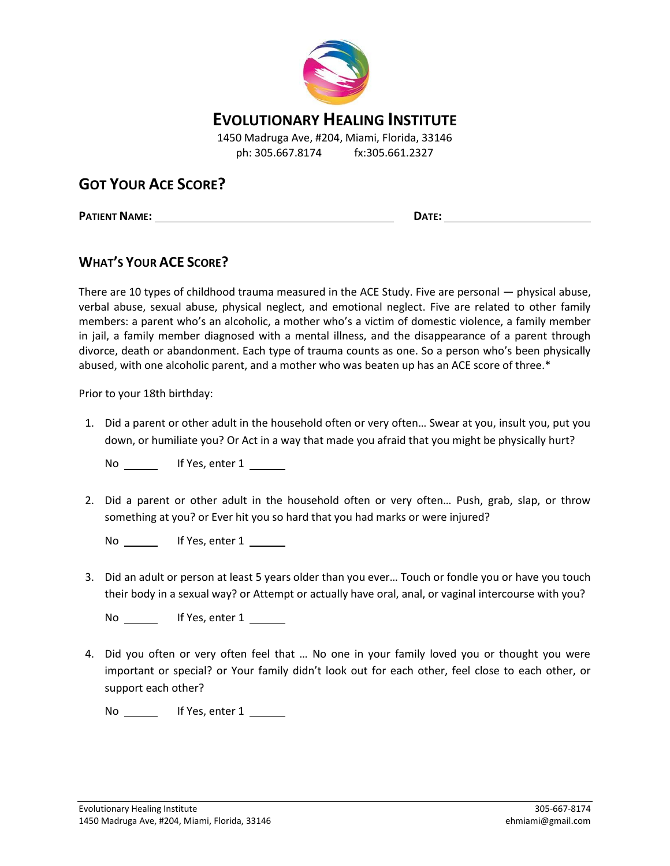

## **EVOLUTIONARY HEALING INSTITUTE**

1450 Madruga Ave, #204, Miami, Florida, 33146 ph: 305.667.8174 fx:305.661.2327

## **GOT YOUR ACE SCORE?**

**PATIENT NAME: DATE:**

## **WHAT'S YOUR ACE SCORE?**

There are 10 types of childhood trauma measured in the ACE Study. Five are personal — physical abuse, verbal abuse, sexual abuse, physical neglect, and emotional neglect. Five are related to other family members: a parent who's an alcoholic, a mother who's a victim of domestic violence, a family member in jail, a family member diagnosed with a mental illness, and the disappearance of a parent through divorce, death or abandonment. Each type of trauma counts as one. So a person who's been physically abused, with one alcoholic parent, and a mother who was beaten up has an ACE score of three.\*

Prior to your 18th birthday:

1. Did a parent or other adult in the household often or very often… Swear at you, insult you, put you down, or humiliate you? Or Act in a way that made you afraid that you might be physically hurt?

No If Yes, enter 1

2. Did a parent or other adult in the household often or very often… Push, grab, slap, or throw something at you? or Ever hit you so hard that you had marks or were injured?

No \_\_\_\_\_\_\_ If Yes, enter 1 \_\_\_\_\_\_

3. Did an adult or person at least 5 years older than you ever… Touch or fondle you or have you touch their body in a sexual way? or Attempt or actually have oral, anal, or vaginal intercourse with you?

No If Yes, enter 1

4. Did you often or very often feel that … No one in your family loved you or thought you were important or special? or Your family didn't look out for each other, feel close to each other, or support each other?

No \_\_\_\_\_\_\_ If Yes, enter 1 \_\_\_\_\_\_